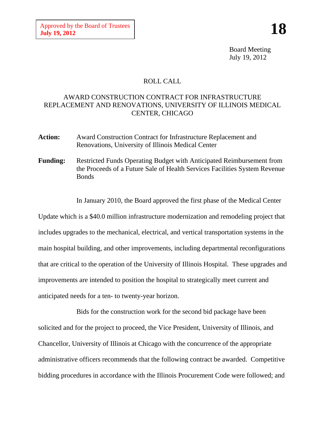Board Meeting July 19, 2012

## ROLL CALL

## AWARD CONSTRUCTION CONTRACT FOR INFRASTRUCTURE REPLACEMENT AND RENOVATIONS, UNIVERSITY OF ILLINOIS MEDICAL CENTER, CHICAGO

- **Action:** Award Construction Contract for Infrastructure Replacement and Renovations, University of Illinois Medical Center
- **Funding:** Restricted Funds Operating Budget with Anticipated Reimbursement from the Proceeds of a Future Sale of Health Services Facilities System Revenue **Bonds**

In January 2010, the Board approved the first phase of the Medical Center

Update which is a \$40.0 million infrastructure modernization and remodeling project that includes upgrades to the mechanical, electrical, and vertical transportation systems in the main hospital building, and other improvements, including departmental reconfigurations that are critical to the operation of the University of Illinois Hospital. These upgrades and improvements are intended to position the hospital to strategically meet current and anticipated needs for a ten- to twenty-year horizon.

Bids for the construction work for the second bid package have been solicited and for the project to proceed, the Vice President, University of Illinois, and Chancellor, University of Illinois at Chicago with the concurrence of the appropriate administrative officers recommends that the following contract be awarded. Competitive bidding procedures in accordance with the Illinois Procurement Code were followed; and